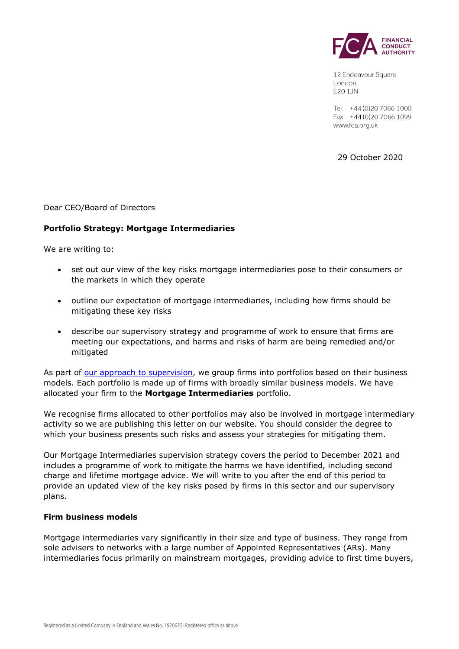

12 Endeavour Square London **E20 1JN** 

Tel: +44 (0) 20 7066 1000 Fax: +44 (0) 20 7066 1099 www.fca.org.uk

29 October 2020

Dear CEO/Board of Directors

#### **Portfolio Strategy: Mortgage Intermediaries**

We are writing to:

- set out our view of the key risks mortgage intermediaries pose to their consumers or the markets in which they operate
- outline our expectation of mortgage intermediaries, including how firms should be mitigating these key risks
- describe our supervisory strategy and programme of work to ensure that firms are meeting our expectations, and harms and risks of harm are being remedied and/or mitigated

As part of [our approach to supervision,](https://www.fca.org.uk/publication/corporate/our-approach-supervision-final-report-feedback-statement.pdf) we group firms into portfolios based on their business models. Each portfolio is made up of firms with broadly similar business models. We have allocated your firm to the **Mortgage Intermediaries** portfolio.

We recognise firms allocated to other portfolios may also be involved in mortgage intermediary activity so we are publishing this letter on our website. You should consider the degree to which your business presents such risks and assess your strategies for mitigating them.

Our Mortgage Intermediaries supervision strategy covers the period to December 2021 and includes a programme of work to mitigate the harms we have identified, including second charge and lifetime mortgage advice. We will write to you after the end of this period to provide an updated view of the key risks posed by firms in this sector and our supervisory plans.

#### **Firm business models**

Mortgage intermediaries vary significantly in their size and type of business. They range from sole advisers to networks with a large number of Appointed Representatives (ARs). Many intermediaries focus primarily on mainstream mortgages, providing advice to first time buyers,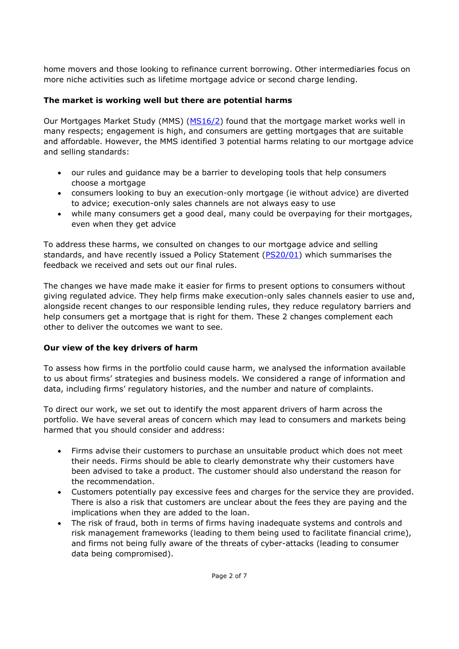home movers and those looking to refinance current borrowing. Other intermediaries focus on more niche activities such as lifetime mortgage advice or second charge lending.

# **The market is working well but there are potential harms**

Our Mortgages Market Study (MMS) [\(MS16/2\)](https://www.fca.org.uk/publications/market-studies/mortgages-market-study) found that the mortgage market works well in many respects; engagement is high, and consumers are getting mortgages that are suitable and affordable. However, the MMS identified 3 potential harms relating to our mortgage advice and selling standards:

- our rules and guidance may be a barrier to developing tools that help consumers choose a mortgage
- consumers looking to buy an execution-only mortgage (ie without advice) are diverted to advice; execution-only sales channels are not always easy to use
- while many consumers get a good deal, many could be overpaying for their mortgages, even when they get advice

To address these harms, we consulted on changes to our mortgage advice and selling standards, and have recently issued a Policy Statement [\(PS20/01\)](https://www.fca.org.uk/publications/policy-statements/ps20-01-mortgage-advice-and-selling-standards-feedback-cp19-17-and-final-rules) which summarises the feedback we received and sets out our final rules.

The changes we have made make it easier for firms to present options to consumers without giving regulated advice. They help firms make execution-only sales channels easier to use and, alongside recent changes to our responsible lending rules, they reduce regulatory barriers and help consumers get a mortgage that is right for them. These 2 changes complement each other to deliver the outcomes we want to see.

# **Our view of the key drivers of harm**

To assess how firms in the portfolio could cause harm, we analysed the information available to us about firms' strategies and business models. We considered a range of information and data, including firms' regulatory histories, and the number and nature of complaints.

To direct our work, we set out to identify the most apparent drivers of harm across the portfolio. We have several areas of concern which may lead to consumers and markets being harmed that you should consider and address:

- Firms advise their customers to purchase an unsuitable product which does not meet their needs. Firms should be able to clearly demonstrate why their customers have been advised to take a product. The customer should also understand the reason for the recommendation.
- Customers potentially pay excessive fees and charges for the service they are provided. There is also a risk that customers are unclear about the fees they are paying and the implications when they are added to the loan.
- The risk of fraud, both in terms of firms having inadequate systems and controls and risk management frameworks (leading to them being used to facilitate financial crime), and firms not being fully aware of the threats of cyber-attacks (leading to consumer data being compromised).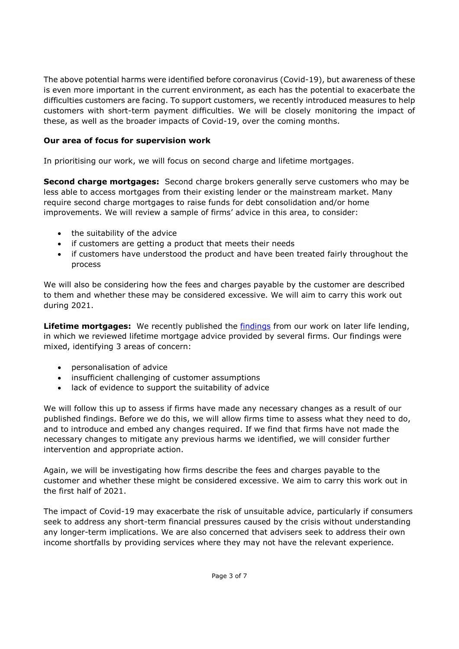The above potential harms were identified before coronavirus (Covid-19), but awareness of these is even more important in the current environment, as each has the potential to exacerbate the difficulties customers are facing. To support customers, we recently introduced measures to help customers with short-term payment difficulties. We will be closely monitoring the impact of these, as well as the broader impacts of Covid-19, over the coming months.

# **Our area of focus for supervision work**

In prioritising our work, we will focus on second charge and lifetime mortgages.

**Second charge mortgages:** Second charge brokers generally serve customers who may be less able to access mortgages from their existing lender or the mainstream market. Many require second charge mortgages to raise funds for debt consolidation and/or home improvements. We will review a sample of firms' advice in this area, to consider:

- the suitability of the advice
- if customers are getting a product that meets their needs
- if customers have understood the product and have been treated fairly throughout the process

We will also be considering how the fees and charges payable by the customer are described to them and whether these may be considered excessive. We will aim to carry this work out during 2021.

**Lifetime mortgages:** We recently published the [findings](https://www.fca.org.uk/publications/multi-firm-reviews/equity-release-sales-and-advice-process-key-findings) from our work on later life lending, in which we reviewed lifetime mortgage advice provided by several firms. Our findings were mixed, identifying 3 areas of concern:

- personalisation of advice
- insufficient challenging of customer assumptions
- lack of evidence to support the suitability of advice

We will follow this up to assess if firms have made any necessary changes as a result of our published findings. Before we do this, we will allow firms time to assess what they need to do, and to introduce and embed any changes required. If we find that firms have not made the necessary changes to mitigate any previous harms we identified, we will consider further intervention and appropriate action.

Again, we will be investigating how firms describe the fees and charges payable to the customer and whether these might be considered excessive. We aim to carry this work out in the first half of 2021.

The impact of Covid-19 may exacerbate the risk of unsuitable advice, particularly if consumers seek to address any short-term financial pressures caused by the crisis without understanding any longer-term implications. We are also concerned that advisers seek to address their own income shortfalls by providing services where they may not have the relevant experience.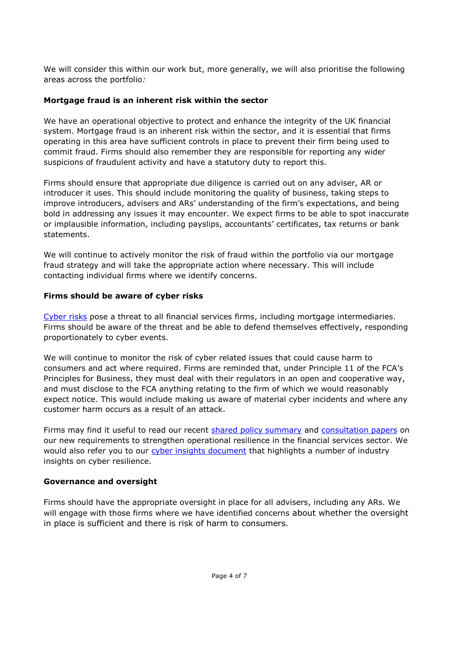We will consider this within our work but, more generally, we will also prioritise the following areas across the portfolio*:*

# **Mortgage fraud is an inherent risk within the sector**

We have an operational objective to protect and [enhance the integrity](https://www.fca.org.uk/about/enhancing-market-integrity) of the UK financial system. Mortgage fraud is an inherent risk within the sector, and it is essential that firms operating in this area have sufficient controls in place to prevent their firm being used to commit fraud. Firms should also remember they are responsible for reporting any wider suspicions of fraudulent activity and have a statutory duty to report this.

Firms should ensure that appropriate due diligence is carried out on any adviser, AR or introducer it uses. This should include monitoring the quality of business, taking steps to improve introducers, advisers and ARs' understanding of the firm's expectations, and being bold in addressing any issues it may encounter. We expect firms to be able to spot inaccurate or implausible information, including payslips, accountants' certificates, tax returns or bank statements.

We will continue to actively monitor the risk of fraud within the portfolio via our mortgage fraud strategy and will take the appropriate action where necessary. This will include contacting individual firms where we identify concerns.

### **Firms should be aware of cyber risks**

[Cyber risks](https://www.fca.org.uk/firms/cyber-resilience) pose a threat to all financial services firms, including mortgage intermediaries. Firms should be aware of the threat and be able to defend themselves effectively, responding proportionately to cyber events.

We will continue to monitor the risk of cyber related issues that could cause harm to consumers and act where required. Firms are reminded that, under [Principle 11](https://www.handbook.fca.org.uk/handbook/PRIN/2/?view=chapter) of the FCA's Principles for Business, they must deal with their regulators in an open and cooperative way, and must disclose to the FCA anything relating to the firm of which we would reasonably expect notice. This would include making us aware of material cyber incidents and where any customer harm occurs as a result of an attack.

Firms may find it useful to read our recent [shared policy summary](https://www.bankofengland.co.uk/-/media/boe/files/prudential-regulation/consultation-paper/2019/building-operational-resilience-impact-tolerances-for-important-business-services.pdf) and [consultation papers](https://www.fca.org.uk/publications/consultation-papers/cp-19-32-building-operational-resilience-impact-tolerances-important-business-services) on our new requirements to strengthen operational resilience in the financial services sector. We would also refer you to our [cyber insights document](https://www.fca.org.uk/publications/research/cyber-security-industry-insights) that highlights a number of industry insights on cyber resilience.

# **Governance and oversight**

Firms should have the appropriate oversight in place for all advisers, including any ARs. We will engage with those firms where we have identified concerns about whether the oversight in place is sufficient and there is risk of harm to consumers.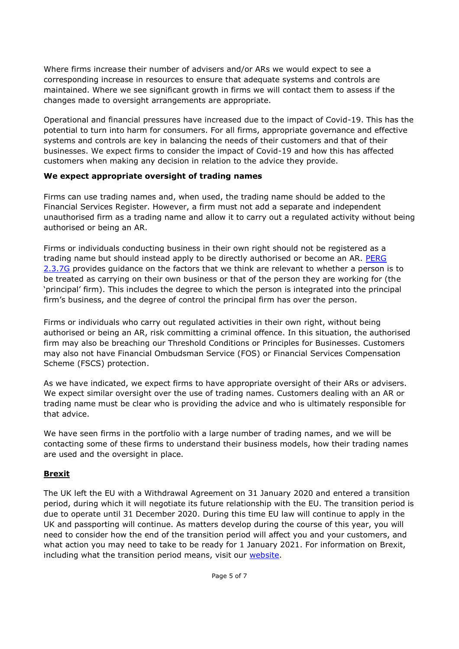Where firms increase their number of advisers and/or ARs we would expect to see a corresponding increase in resources to ensure that adequate systems and controls are maintained. Where we see significant growth in firms we will contact them to assess if the changes made to oversight arrangements are appropriate.

Operational and financial pressures have increased due to the impact of Covid-19. This has the potential to turn into harm for consumers. For all firms, appropriate governance and effective systems and controls are key in balancing the needs of their customers and that of their businesses. We expect firms to consider the impact of Covid-19 and how this has affected customers when making any decision in relation to the advice they provide.

# **We expect appropriate oversight of trading names**

Firms can use trading names and, when used, the trading name should be added to the Financial Services Register. However, a firm must not add a separate and independent unauthorised firm as a trading name and allow it to carry out a regulated activity without being authorised or being an AR.

Firms or individuals conducting business in their own right should not be registered as a trading name but should instead apply to be directly authorised or become an AR. [PERG](https://www.handbook.fca.org.uk/handbook/PERG/2/3.html)  [2.3.7G](https://www.handbook.fca.org.uk/handbook/PERG/2/3.html) provides guidance on the factors that we think are relevant to whether a person is to be treated as carrying on their own business or that of the person they are working for (the 'principal' firm). This includes the degree to which the person is integrated into the principal firm's business, and the degree of control the principal firm has over the person.

Firms or individuals who carry out regulated activities in their own right, without being authorised or being an AR, risk committing a criminal offence. In this situation, the authorised firm may also be breaching our Threshold Conditions or Principles for Businesses. Customers may also not have Financial Ombudsman Service (FOS) or Financial Services Compensation Scheme (FSCS) protection.

As we have indicated, we expect firms to have appropriate oversight of their ARs or advisers. We expect similar oversight over the use of trading names. Customers dealing with an AR or trading name must be clear who is providing the advice and who is ultimately responsible for that advice.

We have seen firms in the portfolio with a large number of trading names, and we will be contacting some of these firms to understand their business models, how their trading names are used and the oversight in place.

# **Brexit**

The UK left the EU with a Withdrawal Agreement on 31 January 2020 and entered a transition period, during which it will negotiate its future relationship with the EU. The transition period is due to operate until 31 December 2020. During this time EU law will continue to apply in the UK and passporting will continue. As matters develop during the course of this year, you will need to consider how the end of the transition period will affect you and your customers, and what action you may need to take to be ready for 1 January 2021. For information on Brexit, including what the transition period means, visit our [website.](https://www.fca.org.uk/brexit)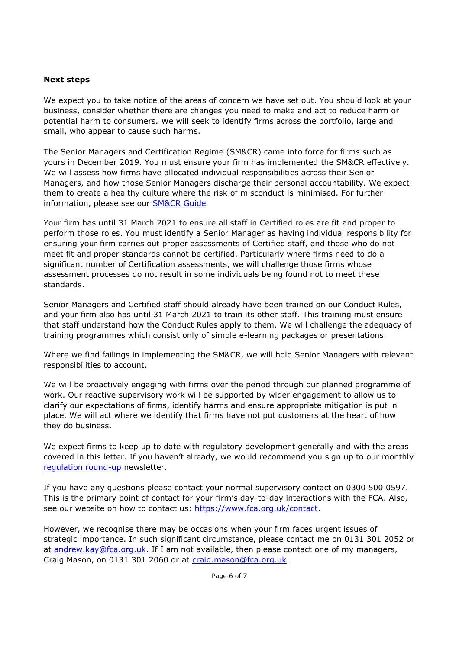### **Next steps**

We expect you to take notice of the areas of concern we have set out. You should look at your business, consider whether there are changes you need to make and act to reduce harm or potential harm to consumers. We will seek to identify firms across the portfolio, large and small, who appear to cause such harms.

The Senior Managers and Certification Regime (SM&CR) came into force for firms such as yours in December 2019. You must ensure your firm has implemented the SM&CR effectively. We will assess how firms have allocated individual responsibilities across their Senior Managers, and how those Senior Managers discharge their personal accountability. We expect them to create a healthy culture where the risk of misconduct is minimised. For further information, please see our [SM&CR Guide](https://www.fca.org.uk/publication/policy/guide-for-fca-solo-regulated-firms.pdf)*.*

Your firm has until 31 March 2021 to ensure all staff in Certified roles are fit and proper to perform those roles. You must identify a Senior Manager as having individual responsibility for ensuring your firm carries out proper assessments of Certified staff, and those who do not meet fit and proper standards cannot be certified. Particularly where firms need to do a significant number of Certification assessments, we will challenge those firms whose assessment processes do not result in some individuals being found not to meet these standards.

Senior Managers and Certified staff should already have been trained on our Conduct Rules, and your firm also has until 31 March 2021 to train its other staff. This training must ensure that staff understand how the Conduct Rules apply to them. We will challenge the adequacy of training programmes which consist only of simple e-learning packages or presentations.

Where we find failings in implementing the SM&CR, we will hold Senior Managers with relevant responsibilities to account.

We will be proactively engaging with firms over the period through our planned programme of work. Our reactive supervisory work will be supported by wider engagement to allow us to clarify our expectations of firms, identify harms and ensure appropriate mitigation is put in place. We will act where we identify that firms have not put customers at the heart of how they do business.

We expect firms to keep up to date with regulatory development generally and with the areas covered in this letter. If you haven't already, we would recommend you sign up to our monthly [regulation round-up](https://www.fca.org.uk/firms/sign-up-regulation-round-up) newsletter.

If you have any questions please contact your normal supervisory contact on 0300 500 0597. This is the primary point of contact for your firm's day-to-day interactions with the FCA. Also, see our website on how to contact us: [https://www.fca.org.uk/contact.](https://www.fca.org.uk/contact)

However, we recognise there may be occasions when your firm faces urgent issues of strategic importance. In such significant circumstance, please contact me on 0131 301 2052 or at [andrew.kay@fca.org.uk.](mailto:andrew.kay@fca.org.uk) If I am not available, then please contact one of my managers, Craig Mason, on 0131 301 2060 or at [craig.mason@fca.org.uk.](mailto:craig.mason@fca.org.uk)